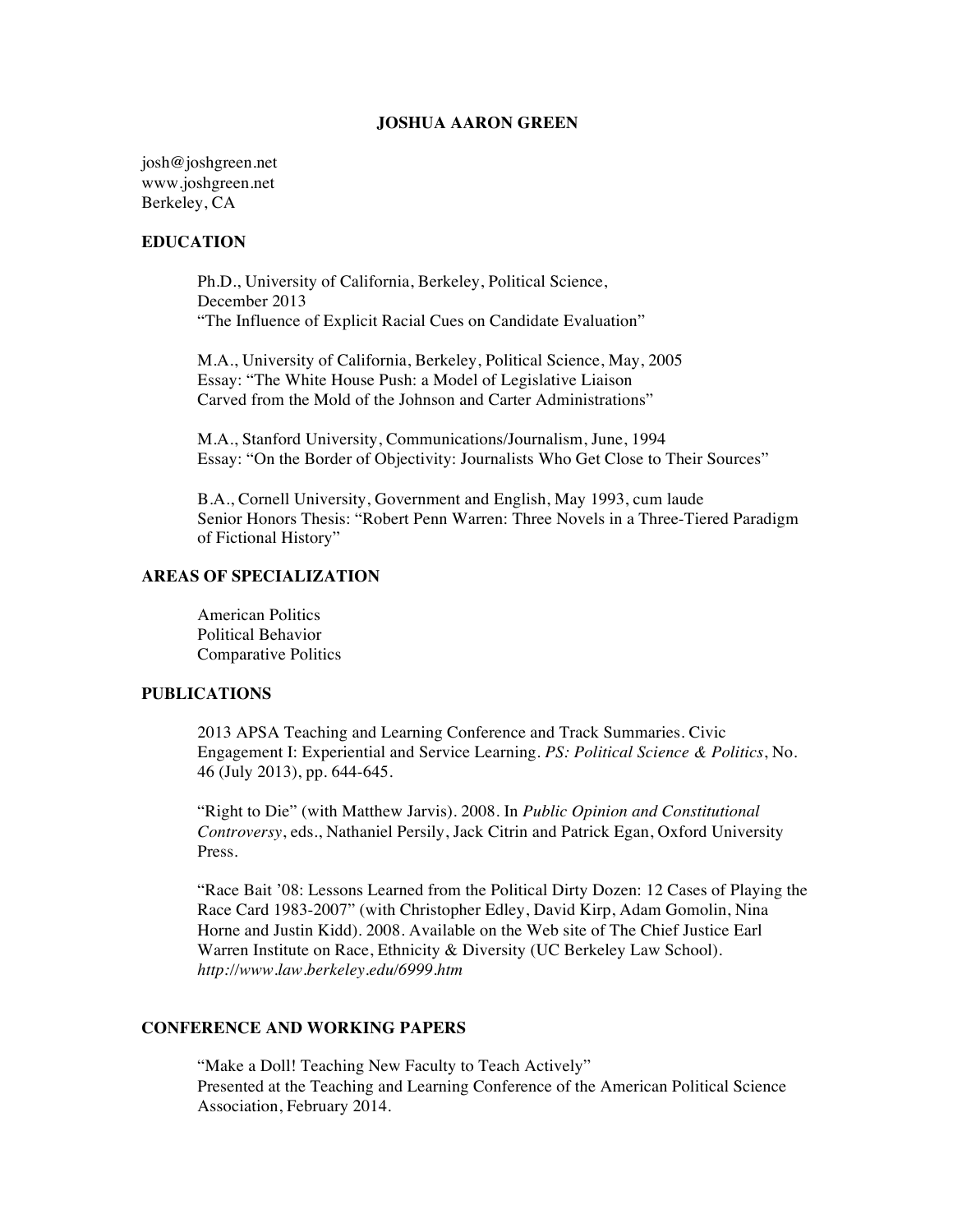#### **JOSHUA AARON GREEN**

josh@joshgreen.net www.joshgreen.net Berkeley, CA

### **EDUCATION**

 Ph.D., University of California, Berkeley, Political Science, December 2013 "The Influence of Explicit Racial Cues on Candidate Evaluation"

 M.A., University of California, Berkeley, Political Science, May, 2005 Essay: "The White House Push: a Model of Legislative Liaison Carved from the Mold of the Johnson and Carter Administrations"

 M.A., Stanford University, Communications/Journalism, June, 1994 Essay: "On the Border of Objectivity: Journalists Who Get Close to Their Sources"

B.A., Cornell University, Government and English, May 1993, cum laude Senior Honors Thesis: "Robert Penn Warren: Three Novels in a Three-Tiered Paradigm of Fictional History"

# **AREAS OF SPECIALIZATION**

American Politics Political Behavior Comparative Politics

## **PUBLICATIONS**

2013 APSA Teaching and Learning Conference and Track Summaries. Civic Engagement I: Experiential and Service Learning. *PS: Political Science & Politics*, No. 46 (July 2013), pp. 644-645.

"Right to Die" (with Matthew Jarvis). 2008. In *Public Opinion and Constitutional Controversy*, eds., Nathaniel Persily, Jack Citrin and Patrick Egan, Oxford University Press.

"Race Bait '08: Lessons Learned from the Political Dirty Dozen: 12 Cases of Playing the Race Card 1983-2007" (with Christopher Edley, David Kirp, Adam Gomolin, Nina Horne and Justin Kidd). 2008. Available on the Web site of The Chief Justice Earl Warren Institute on Race, Ethnicity & Diversity (UC Berkeley Law School). *http://www.law.berkeley.edu/6999.htm*

# **CONFERENCE AND WORKING PAPERS**

"Make a Doll! Teaching New Faculty to Teach Actively" Presented at the Teaching and Learning Conference of the American Political Science Association, February 2014.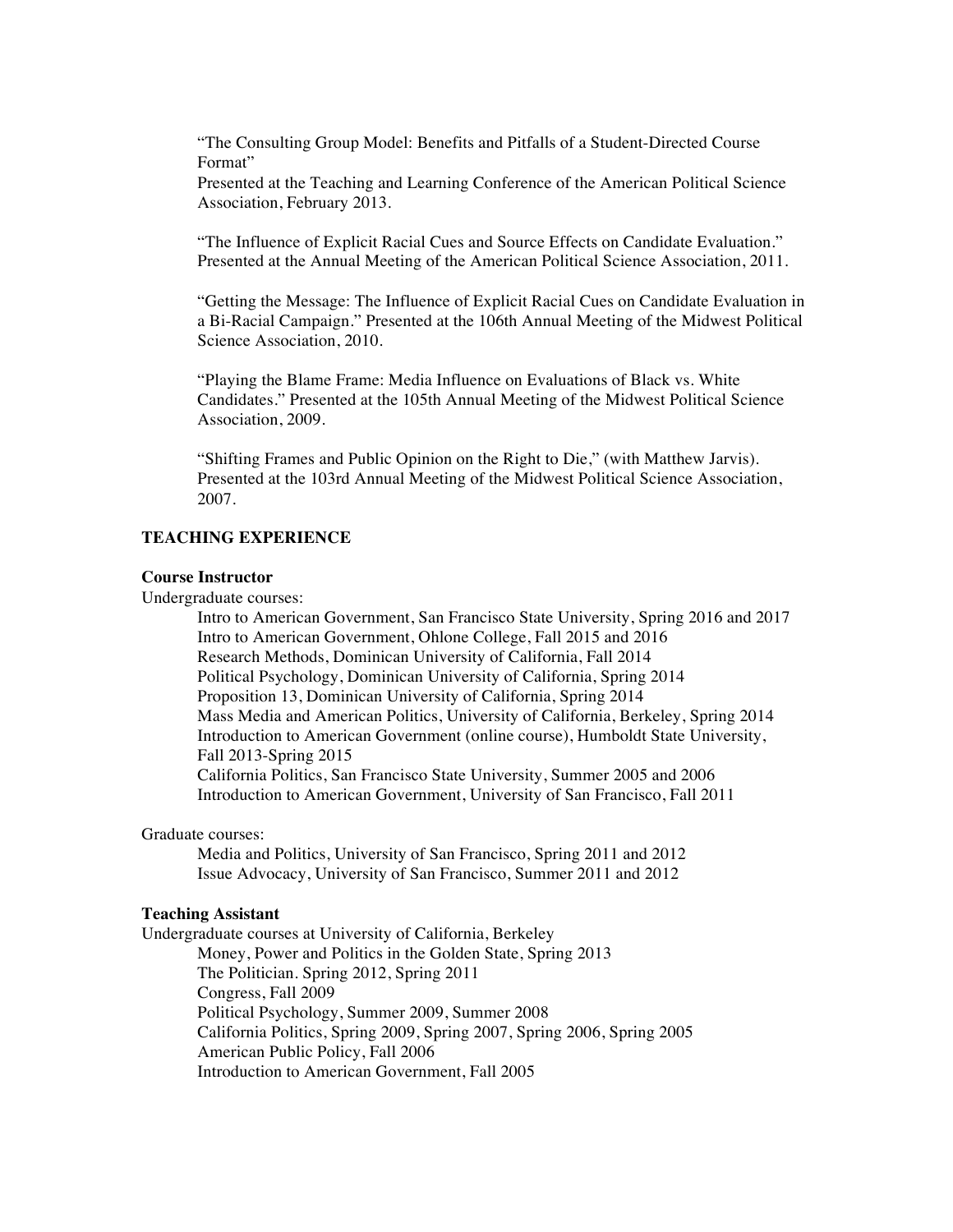"The Consulting Group Model: Benefits and Pitfalls of a Student-Directed Course Format"

Presented at the Teaching and Learning Conference of the American Political Science Association, February 2013.

"The Influence of Explicit Racial Cues and Source Effects on Candidate Evaluation." Presented at the Annual Meeting of the American Political Science Association, 2011.

"Getting the Message: The Influence of Explicit Racial Cues on Candidate Evaluation in a Bi-Racial Campaign." Presented at the 106th Annual Meeting of the Midwest Political Science Association, 2010.

"Playing the Blame Frame: Media Influence on Evaluations of Black vs. White Candidates." Presented at the 105th Annual Meeting of the Midwest Political Science Association, 2009.

"Shifting Frames and Public Opinion on the Right to Die," (with Matthew Jarvis). Presented at the 103rd Annual Meeting of the Midwest Political Science Association, 2007.

### **TEACHING EXPERIENCE**

#### **Course Instructor**

Undergraduate courses:

Intro to American Government, San Francisco State University, Spring 2016 and 2017 Intro to American Government, Ohlone College, Fall 2015 and 2016 Research Methods, Dominican University of California, Fall 2014 Political Psychology, Dominican University of California, Spring 2014 Proposition 13, Dominican University of California, Spring 2014 Mass Media and American Politics, University of California, Berkeley, Spring 2014 Introduction to American Government (online course), Humboldt State University, Fall 2013-Spring 2015 California Politics, San Francisco State University, Summer 2005 and 2006 Introduction to American Government, University of San Francisco, Fall 2011

Graduate courses:

Media and Politics, University of San Francisco, Spring 2011 and 2012 Issue Advocacy, University of San Francisco, Summer 2011 and 2012

### **Teaching Assistant**

Undergraduate courses at University of California, Berkeley

Money, Power and Politics in the Golden State, Spring 2013 The Politician. Spring 2012, Spring 2011

Congress, Fall 2009

Political Psychology, Summer 2009, Summer 2008

California Politics, Spring 2009, Spring 2007, Spring 2006, Spring 2005 American Public Policy, Fall 2006

Introduction to American Government, Fall 2005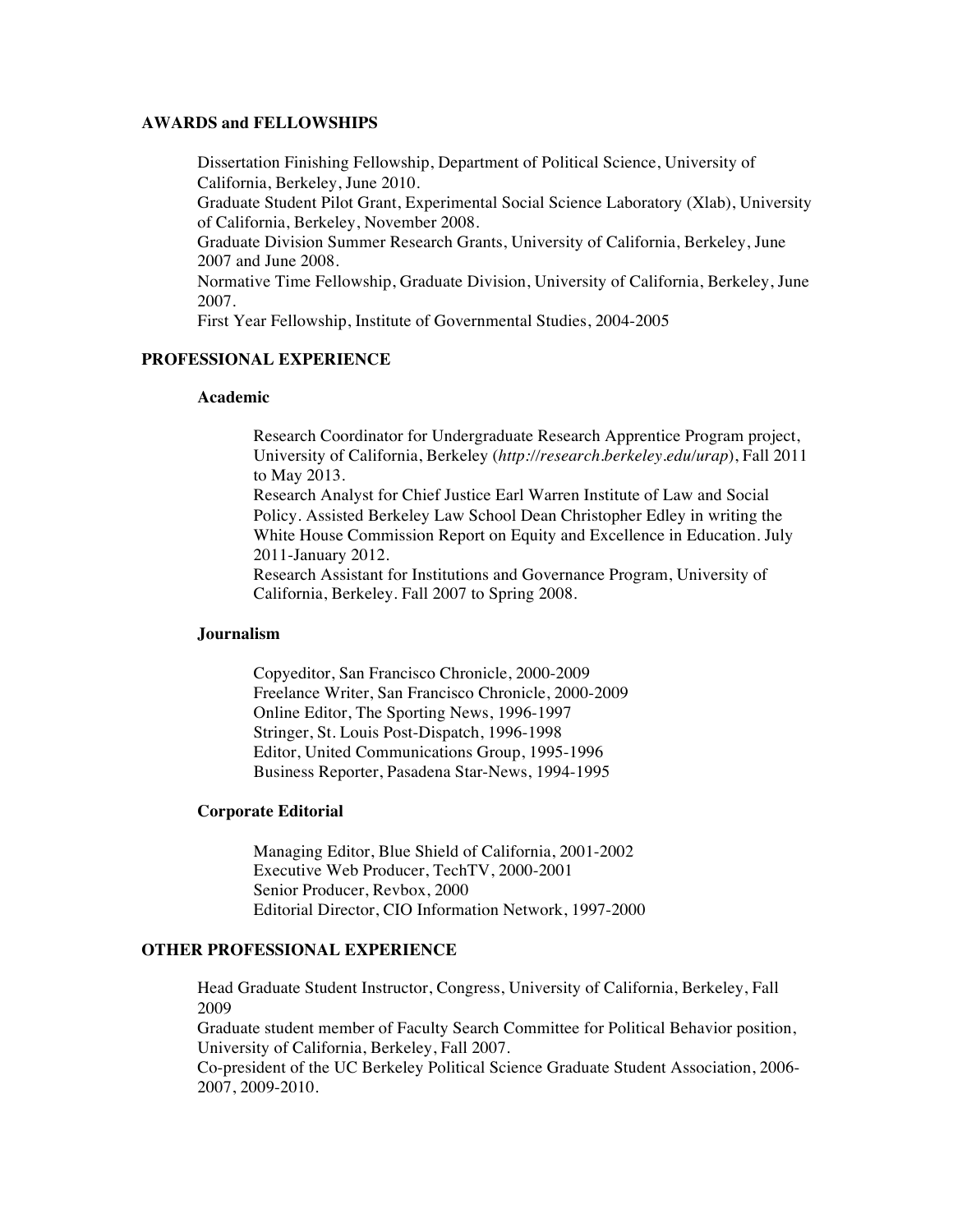### **AWARDS and FELLOWSHIPS**

Dissertation Finishing Fellowship, Department of Political Science, University of California, Berkeley, June 2010.

Graduate Student Pilot Grant, Experimental Social Science Laboratory (Xlab), University of California, Berkeley, November 2008.

Graduate Division Summer Research Grants, University of California, Berkeley, June 2007 and June 2008.

Normative Time Fellowship, Graduate Division, University of California, Berkeley, June 2007.

First Year Fellowship, Institute of Governmental Studies, 2004-2005

# **PROFESSIONAL EXPERIENCE**

#### **Academic**

Research Coordinator for Undergraduate Research Apprentice Program project, University of California, Berkeley (*http://research.berkeley.edu/urap*), Fall 2011 to May 2013.

Research Analyst for Chief Justice Earl Warren Institute of Law and Social Policy. Assisted Berkeley Law School Dean Christopher Edley in writing the White House Commission Report on Equity and Excellence in Education. July 2011-January 2012.

Research Assistant for Institutions and Governance Program, University of California, Berkeley. Fall 2007 to Spring 2008.

## **Journalism**

 Copyeditor, San Francisco Chronicle, 2000-2009 Freelance Writer, San Francisco Chronicle, 2000-2009 Online Editor, The Sporting News, 1996-1997 Stringer, St. Louis Post-Dispatch, 1996-1998 Editor, United Communications Group, 1995-1996 Business Reporter, Pasadena Star-News, 1994-1995

#### **Corporate Editorial**

 Managing Editor, Blue Shield of California, 2001-2002 Executive Web Producer, TechTV, 2000-2001 Senior Producer, Revbox, 2000 Editorial Director, CIO Information Network, 1997-2000

# **OTHER PROFESSIONAL EXPERIENCE**

Head Graduate Student Instructor, Congress, University of California, Berkeley, Fall 2009

Graduate student member of Faculty Search Committee for Political Behavior position, University of California, Berkeley, Fall 2007.

Co-president of the UC Berkeley Political Science Graduate Student Association, 2006- 2007, 2009-2010.